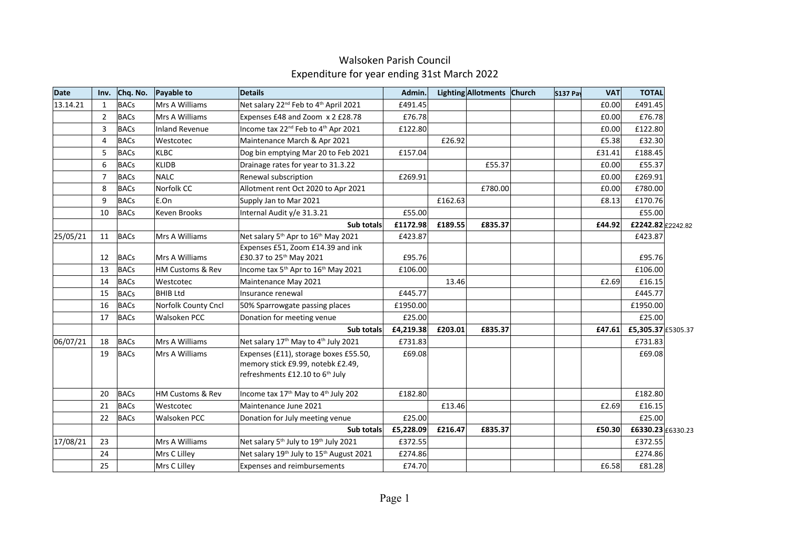| <b>Date</b> | Inv.              | Chq. No.    | Payable to            | <b>Details</b>                                                                                                            | Admin.    |         | Lighting Allotments Church | <b>S137 Pav</b> | <b>VAT</b> | <b>TOTAL</b>       |  |
|-------------|-------------------|-------------|-----------------------|---------------------------------------------------------------------------------------------------------------------------|-----------|---------|----------------------------|-----------------|------------|--------------------|--|
| 13.14.21    | $\mathbf{1}$      | <b>BACs</b> | Mrs A Williams        | Net salary 22 <sup>nd</sup> Feb to 4 <sup>th</sup> April 2021                                                             | £491.45   |         |                            |                 | £0.00      | £491.45            |  |
|             | $\overline{2}$    | <b>BACs</b> | Mrs A Williams        | Expenses £48 and Zoom x 2 £28.78                                                                                          | £76.78    |         |                            |                 | £0.00      | £76.78             |  |
|             | 3                 | <b>BACs</b> | <b>Inland Revenue</b> | Income tax 22 <sup>nd</sup> Feb to 4 <sup>th</sup> Apr 2021                                                               | £122.80   |         |                            |                 | £0.00      | £122.80            |  |
|             | 4                 | <b>BACs</b> | Westcotec             | Maintenance March & Apr 2021                                                                                              |           | £26.92  |                            |                 | £5.38      | £32.30             |  |
|             | 5                 | <b>BACs</b> | <b>KLBC</b>           | Dog bin emptying Mar 20 to Feb 2021                                                                                       | £157.04   |         |                            |                 | £31.41     | £188.45            |  |
|             | 6                 | <b>BACs</b> | <b>KLIDB</b>          | Drainage rates for year to 31.3.22                                                                                        |           |         | £55.37                     |                 | £0.00      | £55.37             |  |
|             | 7                 | <b>BACs</b> | <b>NALC</b>           | Renewal subscription                                                                                                      | £269.91   |         |                            |                 | £0.00      | £269.91            |  |
|             | 8                 | <b>BACs</b> | Norfolk CC            | Allotment rent Oct 2020 to Apr 2021                                                                                       |           |         | £780.00                    |                 | £0.00      | £780.00            |  |
|             | 9                 | <b>BACs</b> | E.On                  | Supply Jan to Mar 2021                                                                                                    |           | £162.63 |                            |                 | £8.13      | £170.76            |  |
|             | 10<br><b>BACs</b> |             | Keven Brooks          | Internal Audit y/e 31.3.21                                                                                                | £55.00    |         |                            |                 |            | £55.00             |  |
|             |                   |             |                       | Sub totals                                                                                                                | £1172.98  | £189.55 | £835.37                    |                 | £44.92     | £2242.82 £2242.82  |  |
| 25/05/21    | 11                | <b>BACs</b> | Mrs A Williams        | Net salary 5 <sup>th</sup> Apr to 16 <sup>th</sup> May 2021                                                               | £423.87   |         |                            |                 |            | £423.87            |  |
|             |                   |             |                       | Expenses £51, Zoom £14.39 and ink                                                                                         |           |         |                            |                 |            |                    |  |
|             | 12                | BACs        | Mrs A Williams        | £30.37 to 25 <sup>th</sup> May 2021                                                                                       | £95.76    |         |                            |                 |            | £95.76             |  |
|             | 13                | <b>BACs</b> | HM Customs & Rev      | Income tax 5 <sup>th</sup> Apr to 16 <sup>th</sup> May 2021                                                               | £106.00   |         |                            |                 |            | £106.00            |  |
|             | 14                | <b>BACs</b> | Westcotec             | Maintenance May 2021                                                                                                      |           | 13.46   |                            |                 | £2.69      | £16.15             |  |
|             | 15                | <b>BACs</b> | <b>BHIB Ltd</b>       | Insurance renewal                                                                                                         | £445.77   |         |                            |                 |            | £445.77            |  |
|             | 16                | <b>BACs</b> | Norfolk County Cncl   | 50% Sparrowgate passing places                                                                                            | £1950.00  |         |                            |                 |            | £1950.00           |  |
|             | 17                | <b>BACs</b> | Walsoken PCC          | Donation for meeting venue                                                                                                | £25.00    |         |                            |                 |            | £25.00             |  |
|             |                   |             |                       | Sub totals                                                                                                                | £4,219.38 | £203.01 | £835.37                    |                 | £47.61     | £5,305.37 £5305.37 |  |
| 06/07/21    | 18                | <b>BACs</b> | Mrs A Williams        | Net salary 17 <sup>th</sup> May to 4 <sup>th</sup> July 2021                                                              | £731.83   |         |                            |                 |            | £731.83            |  |
|             | 19                | <b>BACs</b> | Mrs A Williams        | Expenses (£11), storage boxes £55.50,<br>memory stick £9.99, notebk £2.49,<br>refreshments £12.10 to 6 <sup>th</sup> July | £69.08    |         |                            |                 |            | £69.08             |  |
|             | 20                | <b>BACs</b> | HM Customs & Rev      | Income tax 17 <sup>th</sup> May to 4 <sup>th</sup> July 202                                                               | £182.80   |         |                            |                 |            | £182.80            |  |
|             | 21                | <b>BACs</b> | Westcotec             | Maintenance June 2021                                                                                                     |           | £13.46  |                            |                 | £2.69      | £16.15             |  |
|             | 22                | <b>BACs</b> | Walsoken PCC          | Donation for July meeting venue                                                                                           | £25.00    |         |                            |                 |            | £25.00             |  |
|             |                   |             |                       | Sub totals                                                                                                                | £5,228.09 | £216.47 | £835.37                    |                 | £50.30     | £6330.23 £6330.23  |  |
| 17/08/21    | 23                |             | Mrs A Williams        | Net salary 5 <sup>th</sup> July to 19 <sup>th</sup> July 2021                                                             | £372.55   |         |                            |                 |            | £372.55            |  |
|             | 24                |             | Mrs C Lilley          | Net salary 19 <sup>th</sup> July to 15 <sup>th</sup> August 2021                                                          | £274.86   |         |                            |                 |            | £274.86            |  |
|             | 25                |             | Mrs C Lilley          | <b>Expenses and reimbursements</b>                                                                                        | £74.70    |         |                            |                 | £6.58      | £81.28             |  |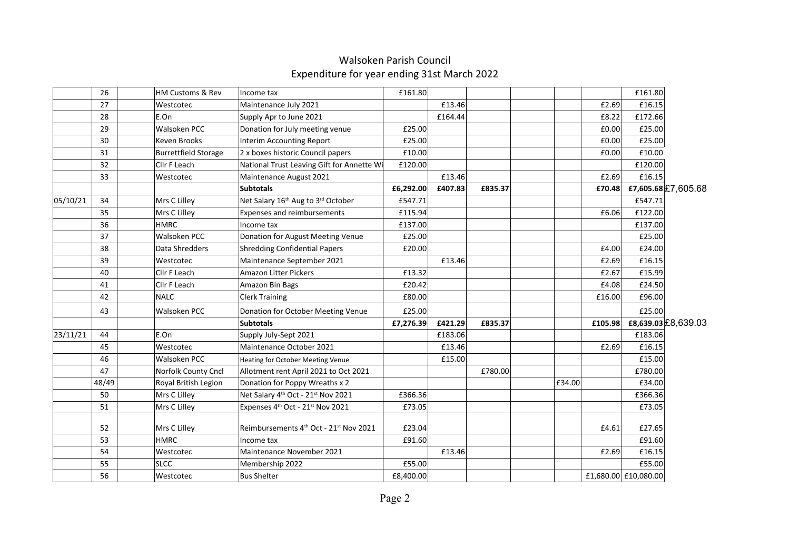|          | 26                 | HM Customs & Rev            | Income tax                                                 | £161.80   |         |         |        |         | £161.80              |                     |  |
|----------|--------------------|-----------------------------|------------------------------------------------------------|-----------|---------|---------|--------|---------|----------------------|---------------------|--|
|          | 27                 | Westcotec                   | Maintenance July 2021                                      |           | £13.46  |         |        | £2.69   | £16.15               |                     |  |
|          | 28                 | E.On                        | Supply Apr to June 2021                                    |           | £164.44 |         |        | £8.22   | £172.66              |                     |  |
|          | 29                 | <b>Walsoken PCC</b>         | Donation for July meeting venue                            | £25.00    |         |         |        | £0.00   | £25.00               |                     |  |
|          | 30                 | Keven Brooks                | Interim Accounting Report                                  | £25.00    |         |         |        | £0.00   | £25.00               |                     |  |
|          | 31                 | <b>Burrettfield Storage</b> | 2 x boxes historic Council papers                          | £10.00    |         |         |        | £0.00   | £10.00               |                     |  |
|          | 32<br>Cllr F Leach |                             | National Trust Leaving Gift for Annette Wi                 | £120.00   |         |         |        |         | £120.00              |                     |  |
|          | 33                 | Westcotec                   | Maintenance August 2021                                    |           | £13.46  |         |        | £2.69   | £16.15               |                     |  |
|          |                    |                             | <b>Subtotals</b>                                           | £6,292.00 | £407.83 | £835.37 |        | £70.48  |                      | £7,605.68 £7,605.68 |  |
| 05/10/21 | 34                 | Mrs C Lilley                | Net Salary 16th Aug to 3rd October                         | £547.71   |         |         |        |         | £547.71              |                     |  |
|          | 35                 | Mrs C Lilley                | <b>Expenses and reimbursements</b>                         | £115.94   |         |         |        | £6.06   | £122.00              |                     |  |
|          | 36                 | <b>HMRC</b>                 | Income tax                                                 | £137.00   |         |         |        |         | £137.00              |                     |  |
|          | 37                 | Walsoken PCC                | Donation for August Meeting Venue                          | £25.00    |         |         |        |         | £25.00               |                     |  |
|          | 38                 | Data Shredders              | Shredding Confidential Papers                              | £20.00    |         |         |        | £4.00   | £24.00               |                     |  |
|          | 39                 | Westcotec                   | Maintenance September 2021                                 |           | £13.46  |         |        | £2.69   | £16.15               |                     |  |
|          | 40                 | Cllr F Leach                | Amazon Litter Pickers                                      | £13.32    |         |         |        | £2.67   | £15.99               |                     |  |
|          | 41                 | Cllr F Leach                | Amazon Bin Bags                                            | £20.42    |         |         |        | £4.08   | £24.50               |                     |  |
|          | 42                 | <b>NALC</b>                 | <b>Clerk Training</b>                                      | £80.00    |         |         |        | £16.00  | £96.00               |                     |  |
|          | 43                 | Walsoken PCC                | Donation for October Meeting Venue                         | £25.00    |         |         |        |         | £25.00               |                     |  |
|          |                    |                             | <b>Subtotals</b>                                           | £7,276.39 | £421.29 | £835.37 |        | £105.98 |                      | £8,639.03 £8,639.03 |  |
| 23/11/21 | 44                 | E.On                        | Supply July-Sept 2021                                      |           | £183.06 |         |        |         | £183.06              |                     |  |
|          | 45                 | Westcotec                   | Maintenance October 2021                                   |           | £13.46  |         |        | £2.69   | £16.15               |                     |  |
|          | 46                 | Walsoken PCC                | <b>Heating for October Meeting Venue</b>                   |           | £15.00  |         |        |         | £15.00               |                     |  |
|          | 47                 | Norfolk County Cncl         | Allotment rent April 2021 to Oct 2021                      |           |         | £780.00 |        |         | £780.00              |                     |  |
|          | 48/49              | Royal British Legion        | Donation for Poppy Wreaths x 2                             |           |         |         | £34.00 |         | £34.00               |                     |  |
|          | 50                 | Mrs C Lilley                | Net Salary 4 <sup>th</sup> Oct - 21 <sup>st</sup> Nov 2021 | £366.36   |         |         |        |         | £366.36              |                     |  |
|          | 51                 | Mrs C Lilley                | Expenses 4th Oct - 21st Nov 2021                           | £73.05    |         |         |        |         | £73.05               |                     |  |
|          | 52                 | Mrs C Lilley                | Reimbursements 4th Oct - 21st Nov 2021                     | £23.04    |         |         |        | £4.61   | £27.65               |                     |  |
|          | 53                 | <b>HMRC</b>                 | Income tax                                                 | £91.60    |         |         |        |         | £91.60               |                     |  |
|          | 54                 | Westcotec                   | Maintenance November 2021                                  |           | £13.46  |         |        | £2.69   | £16.15               |                     |  |
|          | 55                 | <b>SLCC</b>                 | Membership 2022                                            | £55.00    |         |         |        |         | £55.00               |                     |  |
|          | 56                 | Westcotec                   | Bus Shelter                                                | £8,400.00 |         |         |        |         | £1,680.00 £10,080.00 |                     |  |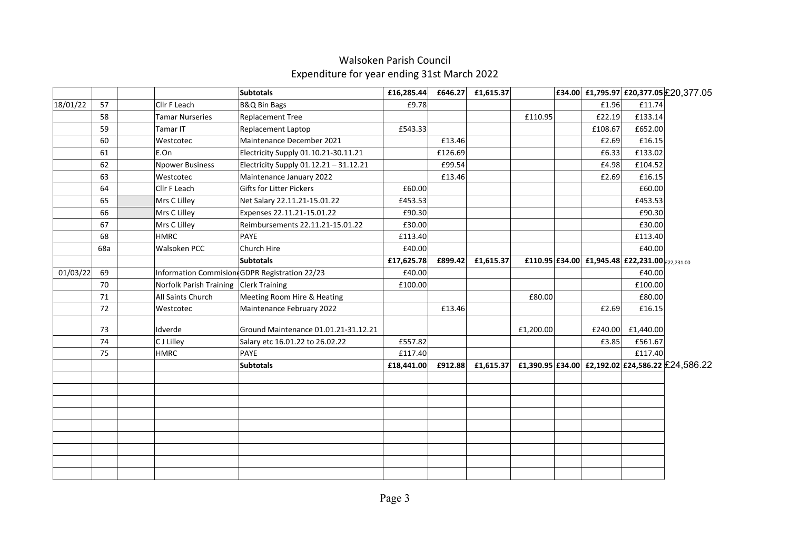|          |     |                        | <b>Subtotals</b>                              | £16,285.44 | £646.27 | £1,615.37         |           |         |                                                | £34.00 £1,795.97 £20,377.05 £20,377.05           |
|----------|-----|------------------------|-----------------------------------------------|------------|---------|-------------------|-----------|---------|------------------------------------------------|--------------------------------------------------|
| 18/01/22 | 57  | Cllr F Leach           | <b>B&amp;Q Bin Bags</b>                       | £9.78      |         |                   |           | £1.96   | £11.74                                         |                                                  |
|          | 58  | <b>Tamar Nurseries</b> | <b>Replacement Tree</b>                       |            |         |                   | £110.95   | £22.19  | £133.14                                        |                                                  |
|          | 59  | Tamar IT               | <b>Replacement Laptop</b>                     | £543.33    |         |                   |           | £108.67 | £652.00                                        |                                                  |
|          | 60  | Westcotec              | Maintenance December 2021                     |            | £13.46  |                   |           | £2.69   | £16.15                                         |                                                  |
|          | 61  | E.On                   | Electricity Supply 01.10.21-30.11.21          |            | £126.69 |                   |           | £6.33   | £133.02                                        |                                                  |
|          | 62  | <b>Npower Business</b> | Electricity Supply 01.12.21 - 31.12.21        |            | £99.54  |                   |           | £4.98   | £104.52                                        |                                                  |
|          | 63  | Westcotec              | Maintenance January 2022                      |            | £13.46  |                   |           | £2.69   | £16.15                                         |                                                  |
|          | 64  | Cllr F Leach           | Gifts for Litter Pickers                      | £60.00     |         |                   |           |         | £60.00                                         |                                                  |
|          | 65  | Mrs C Lilley           | Net Salary 22.11.21-15.01.22                  | £453.53    |         |                   |           |         | £453.53                                        |                                                  |
|          | 66  | Mrs C Lilley           | Expenses 22.11.21-15.01.22                    | £90.30     |         |                   |           |         | £90.30                                         |                                                  |
|          | 67  | Mrs C Lilley           | Reimbursements 22.11.21-15.01.22              | £30.00     |         |                   |           |         | £30.00                                         |                                                  |
|          | 68  | <b>HMRC</b>            | PAYE                                          | £113.40    |         |                   |           |         | £113.40                                        |                                                  |
|          | 68a | Walsoken PCC           | Church Hire                                   | £40.00     |         |                   |           |         | £40.00                                         |                                                  |
|          |     |                        | <b>Subtotals</b>                              | £17,625.78 |         | £899.42 £1,615.37 |           |         | £110.95 £34.00 £1,945.48 £22,231.00 £22,231.00 |                                                  |
| 01/03/22 | 69  |                        | Information Commision GDPR Registration 22/23 | £40.00     |         |                   |           |         | £40.00                                         |                                                  |
|          | 70  |                        | Norfolk Parish Training Clerk Training        | £100.00    |         |                   |           |         | £100.00                                        |                                                  |
|          | 71  | All Saints Church      | Meeting Room Hire & Heating                   |            |         |                   | £80.00    |         | £80.00                                         |                                                  |
|          | 72  | Westcotec              | Maintenance February 2022                     |            | £13.46  |                   |           | £2.69   | £16.15                                         |                                                  |
|          | 73  | Idverde                | Ground Maintenance 01.01.21-31.12.21          |            |         |                   | £1,200.00 | £240.00 | £1,440.00                                      |                                                  |
|          | 74  | C J Lilley             | Salary etc 16.01.22 to 26.02.22               | £557.82    |         |                   |           | £3.85   | £561.67                                        |                                                  |
|          | 75  | <b>HMRC</b>            | PAYE                                          | £117.40    |         |                   |           |         | £117.40                                        |                                                  |
|          |     |                        | <b>Subtotals</b>                              | £18,441.00 | £912.88 | £1,615.37         |           |         |                                                | £1,390.95 £34.00 £2,192.02 £24,586.22 £24,586.22 |
|          |     |                        |                                               |            |         |                   |           |         |                                                |                                                  |
|          |     |                        |                                               |            |         |                   |           |         |                                                |                                                  |
|          |     |                        |                                               |            |         |                   |           |         |                                                |                                                  |
|          |     |                        |                                               |            |         |                   |           |         |                                                |                                                  |
|          |     |                        |                                               |            |         |                   |           |         |                                                |                                                  |
|          |     |                        |                                               |            |         |                   |           |         |                                                |                                                  |
|          |     |                        |                                               |            |         |                   |           |         |                                                |                                                  |
|          |     |                        |                                               |            |         |                   |           |         |                                                |                                                  |
|          |     |                        |                                               |            |         |                   |           |         |                                                |                                                  |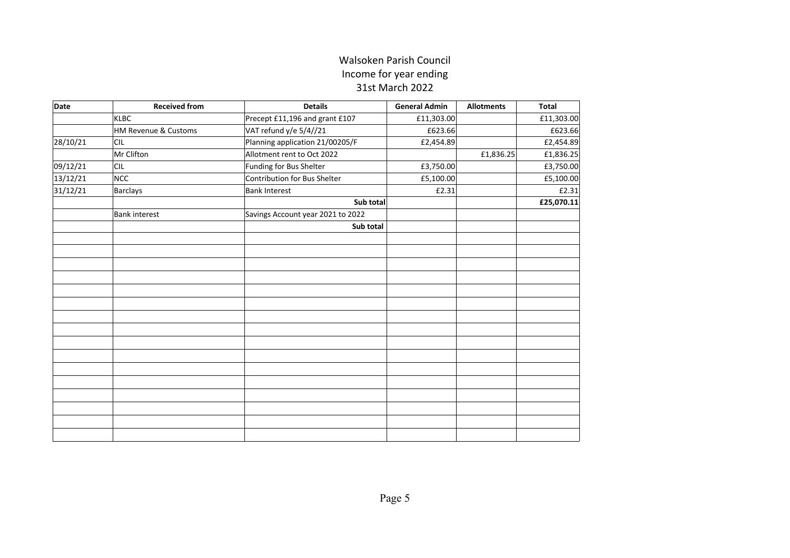#### Walsoken Parish Council Income for year ending 31st March 2022

| <b>Date</b> | <b>Received from</b> | <b>Details</b>                    | <b>General Admin</b> | <b>Allotments</b> | <b>Total</b> |
|-------------|----------------------|-----------------------------------|----------------------|-------------------|--------------|
|             | KLBC                 | Precept £11,196 and grant £107    | £11,303.00           |                   | £11,303.00   |
|             | HM Revenue & Customs | VAT refund y/e 5/4//21            | £623.66              |                   | £623.66      |
| 28/10/21    | <b>CIL</b>           | Planning application 21/00205/F   | £2,454.89            |                   | £2,454.89    |
|             | Mr Clifton           | Allotment rent to Oct 2022        |                      | £1,836.25         | £1,836.25    |
| 09/12/21    | <b>CIL</b>           | Funding for Bus Shelter           | £3,750.00            |                   | £3,750.00    |
| 13/12/21    | NCC                  | Contribution for Bus Shelter      | £5,100.00            |                   | £5,100.00    |
| 31/12/21    | Barclays             | Bank Interest                     | £2.31                |                   | £2.31        |
|             |                      | Sub total                         |                      |                   | £25,070.11   |
|             | Bank interest        | Savings Account year 2021 to 2022 |                      |                   |              |
|             |                      | Sub total                         |                      |                   |              |
|             |                      |                                   |                      |                   |              |
|             |                      |                                   |                      |                   |              |
|             |                      |                                   |                      |                   |              |
|             |                      |                                   |                      |                   |              |
|             |                      |                                   |                      |                   |              |
|             |                      |                                   |                      |                   |              |
|             |                      |                                   |                      |                   |              |
|             |                      |                                   |                      |                   |              |
|             |                      |                                   |                      |                   |              |
|             |                      |                                   |                      |                   |              |
|             |                      |                                   |                      |                   |              |
|             |                      |                                   |                      |                   |              |
|             |                      |                                   |                      |                   |              |
|             |                      |                                   |                      |                   |              |
|             |                      |                                   |                      |                   |              |
|             |                      |                                   |                      |                   |              |
|             |                      |                                   |                      |                   |              |
|             |                      |                                   |                      |                   |              |